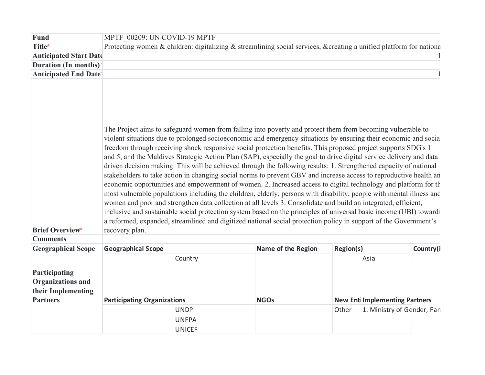| <b>Fund</b>                                                                        | MPTF 00209: UN COVID-19 MPTF                                                                                                                                                                                                                                                                                                                                                                                                                                                                                                                                                                                                                                                                                                                                                                                                                                                                                                                                                                                                                                                                                                                                                                                                                                                                                                            |                                                                                                                    |                                                                             |           |  |  |  |
|------------------------------------------------------------------------------------|-----------------------------------------------------------------------------------------------------------------------------------------------------------------------------------------------------------------------------------------------------------------------------------------------------------------------------------------------------------------------------------------------------------------------------------------------------------------------------------------------------------------------------------------------------------------------------------------------------------------------------------------------------------------------------------------------------------------------------------------------------------------------------------------------------------------------------------------------------------------------------------------------------------------------------------------------------------------------------------------------------------------------------------------------------------------------------------------------------------------------------------------------------------------------------------------------------------------------------------------------------------------------------------------------------------------------------------------|--------------------------------------------------------------------------------------------------------------------|-----------------------------------------------------------------------------|-----------|--|--|--|
| Title*                                                                             |                                                                                                                                                                                                                                                                                                                                                                                                                                                                                                                                                                                                                                                                                                                                                                                                                                                                                                                                                                                                                                                                                                                                                                                                                                                                                                                                         | Protecting women & children: digitalizing & streamlining social services, &creating a unified platform for nationa |                                                                             |           |  |  |  |
| <b>Anticipated Start Date</b>                                                      |                                                                                                                                                                                                                                                                                                                                                                                                                                                                                                                                                                                                                                                                                                                                                                                                                                                                                                                                                                                                                                                                                                                                                                                                                                                                                                                                         |                                                                                                                    |                                                                             |           |  |  |  |
| Duration (In months)                                                               |                                                                                                                                                                                                                                                                                                                                                                                                                                                                                                                                                                                                                                                                                                                                                                                                                                                                                                                                                                                                                                                                                                                                                                                                                                                                                                                                         |                                                                                                                    |                                                                             |           |  |  |  |
| <b>Anticipated End Date:</b>                                                       |                                                                                                                                                                                                                                                                                                                                                                                                                                                                                                                                                                                                                                                                                                                                                                                                                                                                                                                                                                                                                                                                                                                                                                                                                                                                                                                                         |                                                                                                                    |                                                                             |           |  |  |  |
| <b>Brief Overview*</b><br><b>Comments</b>                                          | The Project aims to safeguard women from falling into poverty and protect them from becoming vulnerable to<br>violent situations due to prolonged socioeconomic and emergency situations by ensuring their economic and socia<br>freedom through receiving shock responsive social protection benefits. This proposed project supports SDG's 1<br>and 5, and the Maldives Strategic Action Plan (SAP), especially the goal to drive digital service delivery and data<br>driven decision making. This will be achieved through the following results: 1. Strengthened capacity of national<br>stakeholders to take action in changing social norms to prevent GBV and increase access to reproductive health an<br>economic opportunities and empowerment of women. 2. Increased access to digital technology and platform for th<br>most vulnerable populations including the children, elderly, persons with disability, people with mental illness and<br>women and poor and strengthen data collection at all levels 3. Consolidate and build an integrated, efficient,<br>inclusive and sustainable social protection system based on the principles of universal basic income (UBI) towards<br>a reformed, expanded, streamlined and digitized national social protection policy in support of the Government's<br>recovery plan. |                                                                                                                    |                                                                             |           |  |  |  |
| <b>Geographical Scope</b>                                                          | <b>Geographical Scope</b>                                                                                                                                                                                                                                                                                                                                                                                                                                                                                                                                                                                                                                                                                                                                                                                                                                                                                                                                                                                                                                                                                                                                                                                                                                                                                                               | Name of the Region                                                                                                 | Region(s)                                                                   | Country(i |  |  |  |
|                                                                                    | Country                                                                                                                                                                                                                                                                                                                                                                                                                                                                                                                                                                                                                                                                                                                                                                                                                                                                                                                                                                                                                                                                                                                                                                                                                                                                                                                                 |                                                                                                                    | Asia                                                                        |           |  |  |  |
| Participating<br><b>Organizations and</b><br>their Implementing<br><b>Partners</b> | <b>Participating Organizations</b><br><b>UNDP</b><br><b>UNFPA</b>                                                                                                                                                                                                                                                                                                                                                                                                                                                                                                                                                                                                                                                                                                                                                                                                                                                                                                                                                                                                                                                                                                                                                                                                                                                                       | <b>NGOs</b>                                                                                                        | <b>New Entilmplementing Partners</b><br>1. Ministry of Gender, Fan<br>Other |           |  |  |  |
|                                                                                    | <b>UNICEF</b>                                                                                                                                                                                                                                                                                                                                                                                                                                                                                                                                                                                                                                                                                                                                                                                                                                                                                                                                                                                                                                                                                                                                                                                                                                                                                                                           |                                                                                                                    |                                                                             |           |  |  |  |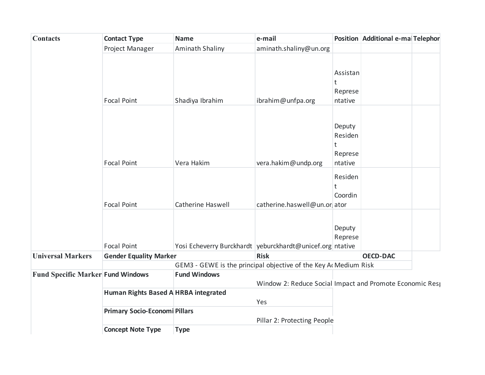| <b>Contacts</b>                          | <b>Contact Type</b>                  | <b>Name</b>                                                     | e-mail                                                   |                                              | Position Additional e-ma Telephor |  |
|------------------------------------------|--------------------------------------|-----------------------------------------------------------------|----------------------------------------------------------|----------------------------------------------|-----------------------------------|--|
|                                          | Project Manager                      | Aminath Shaliny                                                 | aminath.shaliny@un.org                                   |                                              |                                   |  |
|                                          | <b>Focal Point</b>                   | Shadiya Ibrahim                                                 | ibrahim@unfpa.org                                        | Assistan<br>t<br>Represe<br>ntative          |                                   |  |
|                                          | <b>Focal Point</b>                   | Vera Hakim                                                      | vera.hakim@undp.org                                      | Deputy<br>Residen<br>t<br>Represe<br>ntative |                                   |  |
|                                          | <b>Focal Point</b>                   | Catherine Haswell                                               | catherine.haswell@un.or ator                             | Residen<br>t<br>Coordin                      |                                   |  |
|                                          | <b>Focal Point</b>                   | Yosi Echeverry Burckhardt veburckhardt@unicef.org ntative       |                                                          | Deputy<br>Represe                            |                                   |  |
| <b>Universal Markers</b>                 | <b>Gender Equality Marker</b>        |                                                                 | <b>Risk</b>                                              |                                              | <b>OECD-DAC</b>                   |  |
|                                          |                                      | GEM3 - GEWE is the principal objective of the Key A Medium Risk |                                                          |                                              |                                   |  |
| <b>Fund Specific Marker Fund Windows</b> |                                      | <b>Fund Windows</b>                                             | Window 2: Reduce Social Impact and Promote Economic Resp |                                              |                                   |  |
|                                          | Human Rights Based A HRBA integrated |                                                                 | Yes                                                      |                                              |                                   |  |
|                                          | <b>Primary Socio-Economi Pillars</b> |                                                                 | Pillar 2: Protecting People                              |                                              |                                   |  |
|                                          | <b>Concept Note Type</b>             | <b>Type</b>                                                     |                                                          |                                              |                                   |  |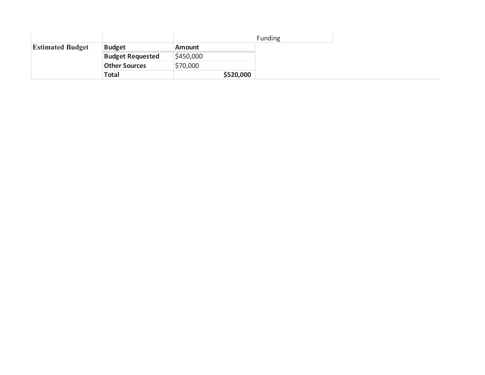|                         |                         |               | <b>Funding</b> |
|-------------------------|-------------------------|---------------|----------------|
| <b>Estimated Budget</b> | <b>Budget</b>           | <b>Amount</b> |                |
|                         | <b>Budget Requested</b> | \$450,000     |                |
|                         | <b>Other Sources</b>    | \$70,000      |                |
|                         | <b>Total</b>            | \$520,000     |                |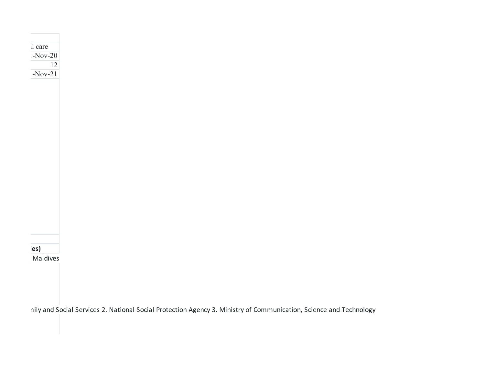

1-Nov-20

Protecting women & children: digitalizing & streamlining social services, &creating a unified platform for national care

Maldives

nily and Social Services 2. National Social Protection Agency 3. Ministry of Communication, Science and Technology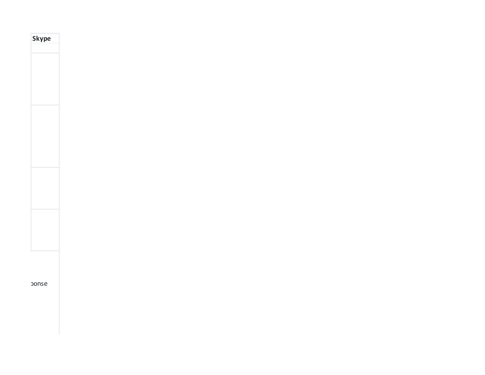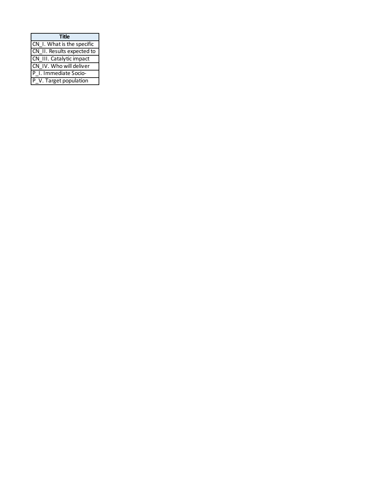| <b>Title</b>               |
|----------------------------|
| CN I. What is the specific |
| CN II. Results expected to |
| CN III. Catalytic impact   |
| CN IV. Who will deliver    |
| P I. Immediate Socio-      |
| P V. Target population     |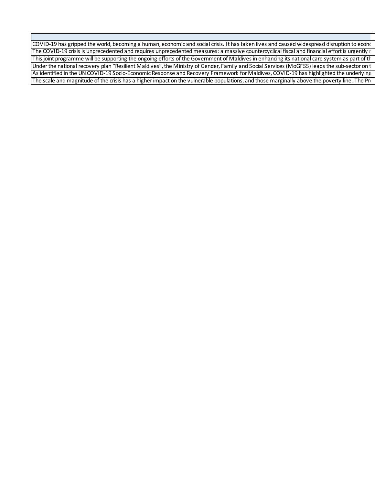COVID-19 has gripped the world, becoming a human, economic and social crisis. It has taken lives and caused widespread disruption to econo The COVID-19 crisis is unprecedented and requires unprecedented measures: a massive countercyclical fiscal and financial effort is urgently r This joint programme will be supporting the ongoing efforts of the Government of Maldives in enhancing its national care system as part of th Under the national recovery plan "Resilient Maldives", the Ministry of Gender, Family and Social Services (MoGFSS) leads the sub-sector on t As identified in the UN COVID-19 Socio-Economic Response and Recovery Framework for Maldives, COVID-19 has highlighted the underlying The scale and magnitude of the crisis has a higher impact on the vulnerable populations, and those marginally above the poverty line. The Pro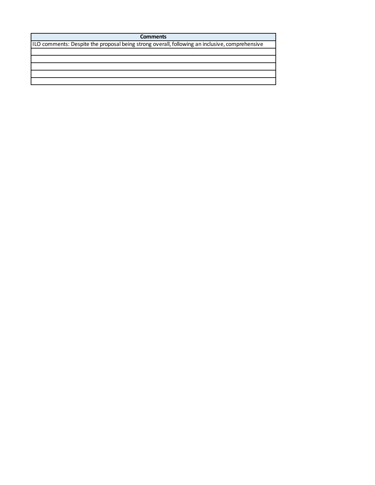**Comments**

ILO comments: Despite the proposal being strong overall, following an inclusive, comprehensive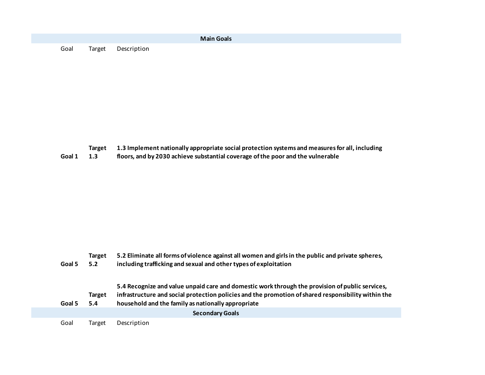|      |                    | <b>Main Goals</b> |  |
|------|--------------------|-------------------|--|
| Goal | Target Description |                   |  |

- **Target 1.3 Implement nationally appropriate social protection systems and measures for all, including**
- **Goal 1 1.3 floors, and by 2030 achieve substantial coverage of the poor and the vulnerable**

|        | Target | 5.2 Eliminate all forms of violence against all women and girls in the public and private spheres,  |
|--------|--------|-----------------------------------------------------------------------------------------------------|
| Goal 5 | 5.2    | including trafficking and sexual and other types of exploitation                                    |
|        |        |                                                                                                     |
|        |        | 5.4 Recognize and value unpaid care and domestic work through the provision of public services,     |
|        | Target | infrastructure and social protection policies and the promotion of shared responsibility within the |
| Goal 5 | 5.4    | household and the family as nationally appropriate                                                  |
|        |        | <b>Secondary Goals</b>                                                                              |
| Goal   | Target | Description                                                                                         |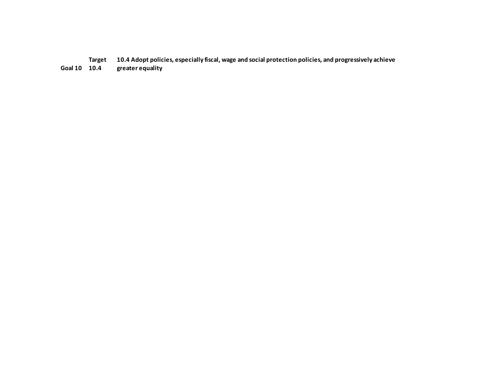**Target 10.4 Adopt policies, especially fiscal, wage and social protection policies, and progressively achieve** 

**Goal 10 10.4 greater equality**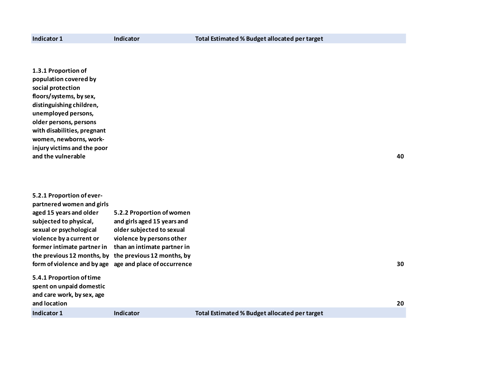| 1.3.1 Proportion of<br>population covered by<br>social protection<br>floors/systems, by sex,<br>distinguishing children,<br>unemployed persons,<br>older persons, persons<br>with disabilities, pregnant<br>women, newborns, work-<br>injury victims and the poor<br>and the vulnerable |                                                                                                                                                                                                                |                                               | 40 |
|-----------------------------------------------------------------------------------------------------------------------------------------------------------------------------------------------------------------------------------------------------------------------------------------|----------------------------------------------------------------------------------------------------------------------------------------------------------------------------------------------------------------|-----------------------------------------------|----|
| 5.2.1 Proportion of ever-<br>partnered women and girls<br>aged 15 years and older<br>subjected to physical,<br>sexual or psychological<br>violence by a current or<br>former intimate partner in<br>the previous 12 months, by<br>form of violence and by age                           | 5.2.2 Proportion of women<br>and girls aged 15 years and<br>older subjected to sexual<br>violence by persons other<br>than an intimate partner in<br>the previous 12 months, by<br>age and place of occurrence |                                               | 30 |
| 5.4.1 Proportion of time<br>spent on unpaid domestic<br>and care work, by sex, age<br>and location                                                                                                                                                                                      |                                                                                                                                                                                                                |                                               | 20 |
| Indicator 1                                                                                                                                                                                                                                                                             | <b>Indicator</b>                                                                                                                                                                                               | Total Estimated % Budget allocated per target |    |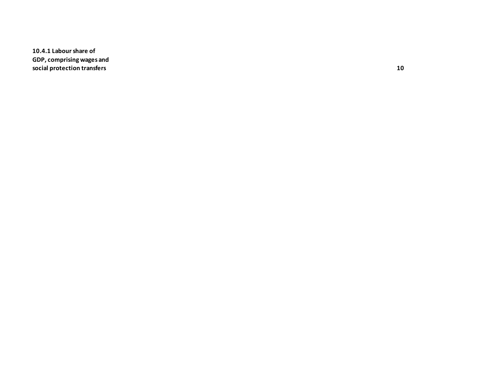**10.4.1 Labour share of GDP, comprising wages and social protection transfers 10**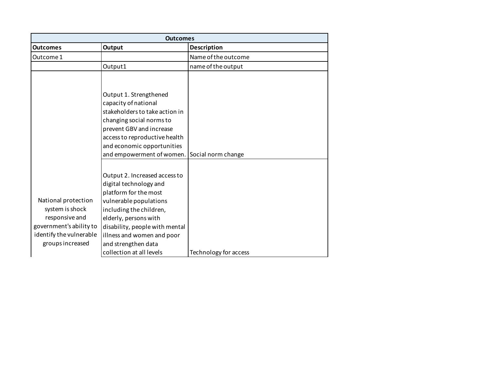|                                                                                                                                    | <b>Outcomes</b>                                                                                                                                                                                                                                                                   |                       |
|------------------------------------------------------------------------------------------------------------------------------------|-----------------------------------------------------------------------------------------------------------------------------------------------------------------------------------------------------------------------------------------------------------------------------------|-----------------------|
| <b>Outcomes</b>                                                                                                                    | Output                                                                                                                                                                                                                                                                            | Description           |
| Outcome 1                                                                                                                          |                                                                                                                                                                                                                                                                                   | Name of the outcome   |
|                                                                                                                                    | Output1                                                                                                                                                                                                                                                                           | name of the output    |
|                                                                                                                                    | Output 1. Strengthened<br>capacity of national<br>stakeholders to take action in<br>changing social norms to<br>prevent GBV and increase<br>access to reproductive health<br>and economic opportunities                                                                           |                       |
|                                                                                                                                    | and empowerment of women.                                                                                                                                                                                                                                                         | Social norm change    |
| National protection<br>system is shock<br>responsive and<br>government's ability to<br>identify the vulnerable<br>groups increased | Output 2. Increased access to<br>digital technology and<br>platform for the most<br>vulnerable populations<br>including the children,<br>elderly, persons with<br>disability, people with mental<br>illness and women and poor<br>and strengthen data<br>collection at all levels | Technology for access |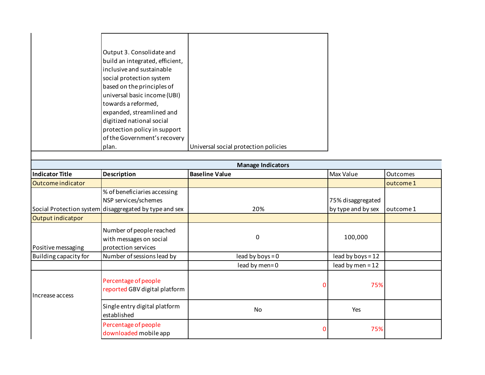| Output 3. Consolidate and       |                                      |
|---------------------------------|--------------------------------------|
| build an integrated, efficient, |                                      |
| inclusive and sustainable       |                                      |
| social protection system        |                                      |
| based on the principles of      |                                      |
| universal basic income (UBI)    |                                      |
| towards a reformed,             |                                      |
| expanded, streamlined and       |                                      |
| digitized national social       |                                      |
| protection policy in support    |                                      |
| of the Government's recovery    |                                      |
| plan.                           | Universal social protection policies |

|                        |                                                                            | <b>Manage Indicators</b> |                     |                 |
|------------------------|----------------------------------------------------------------------------|--------------------------|---------------------|-----------------|
| <b>Indicator Title</b> | <b>Description</b>                                                         | <b>Baseline Value</b>    | Max Value           | <b>Outcomes</b> |
| Outcome indicator      |                                                                            |                          |                     | outcome 1       |
|                        | % of beneficiaries accessing<br>NSP services/schemes                       |                          | 75% disaggregated   |                 |
|                        | Social Protection system disaggregated by type and sex                     | 20%                      | by type and by sex  | outcome 1       |
| Output indicatpor      |                                                                            |                          |                     |                 |
| Positive messaging     | Number of people reached<br>with messages on social<br>protection services | $\Omega$                 | 100,000             |                 |
| Building capacity for  | Number of sessions lead by                                                 | lead by boys = $0$       | lead by boys = $12$ |                 |
|                        |                                                                            | lead by men=0            | lead by men = $12$  |                 |
| Increase access        | Percentage of people<br>reported GBV digital platform                      |                          | 75%                 |                 |
|                        | Single entry digital platform<br>established                               | No                       | Yes                 |                 |
|                        | Percentage of people<br>downloaded mobile app                              |                          | 75%                 |                 |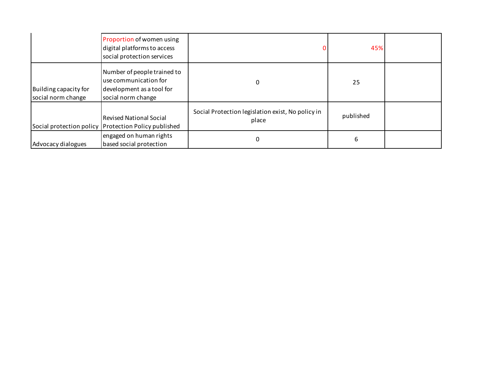|                                             | Proportion of women using<br>digital platforms to access<br>social protection services                  |                                                            | 45%       |  |
|---------------------------------------------|---------------------------------------------------------------------------------------------------------|------------------------------------------------------------|-----------|--|
| Building capacity for<br>social norm change | Number of people trained to<br>use communication for<br>development as a tool for<br>social norm change |                                                            | 25        |  |
|                                             | <b>Revised National Social</b><br>Social protection policy Protection Policy published                  | Social Protection legislation exist, No policy in<br>place | published |  |
| Advocacy dialogues                          | engaged on human rights<br>based social protection                                                      |                                                            | 6         |  |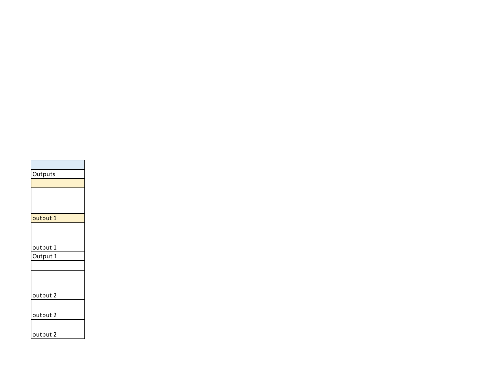| Outputs  |
|----------|
|          |
|          |
|          |
|          |
| output 1 |
|          |
|          |
| output 1 |
| Output 1 |
|          |
|          |
|          |
| output 2 |
|          |
| output 2 |
|          |
| output 2 |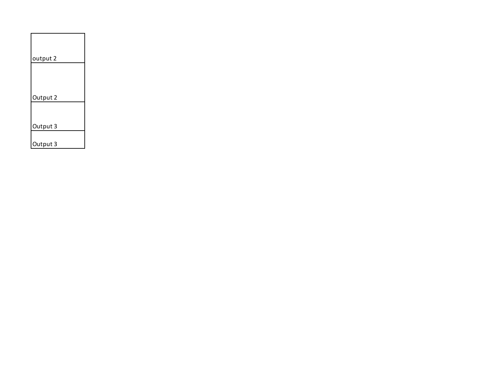| output 2 |
|----------|
|          |
| Output 2 |
|          |
| Output 3 |
| Output 3 |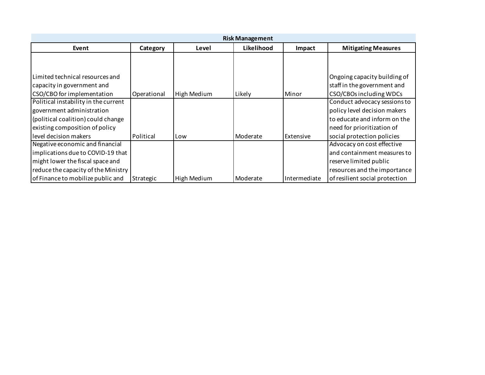|                                      |             |             | <b>Risk Management</b> |              |                                |
|--------------------------------------|-------------|-------------|------------------------|--------------|--------------------------------|
| Event                                | Category    | Level       | Likelihood             | Impact       | <b>Mitigating Measures</b>     |
|                                      |             |             |                        |              |                                |
|                                      |             |             |                        |              |                                |
| Limited technical resources and      |             |             |                        |              | Ongoing capacity building of   |
| capacity in government and           |             |             |                        |              | staff in the government and    |
| CSO/CBO for implementation           | Operational | High Medium | Likely                 | Minor        | CSO/CBOs including WDCs        |
| Political instability in the current |             |             |                        |              | Conduct advocacy sessions to   |
| government administration            |             |             |                        |              | policy level decision makers   |
| (political coalition) could change   |             |             |                        |              | to educate and inform on the   |
| existing composition of policy       |             |             |                        |              | need for prioritization of     |
| level decision makers                | Political   | Low         | Moderate               | Extensive    | social protection policies     |
| Negative economic and financial      |             |             |                        |              | Advocacy on cost effective     |
| implications due to COVID-19 that    |             |             |                        |              | and containment measures to    |
| might lower the fiscal space and     |             |             |                        |              | reserve limited public         |
| reduce the capacity of the Ministry  |             |             |                        |              | resources and the importance   |
| of Finance to mobilize public and    | Strategic   | High Medium | Moderate               | Intermediate | of resilient social protection |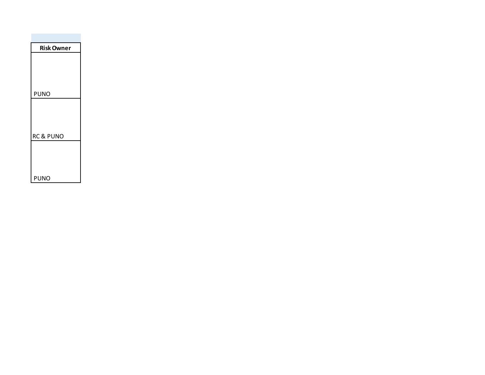| <b>Risk Owner</b>    |
|----------------------|
|                      |
|                      |
|                      |
| <b>PUNO</b>          |
|                      |
|                      |
|                      |
| <b>RC &amp; PUNO</b> |
|                      |
|                      |
|                      |
| PUNO                 |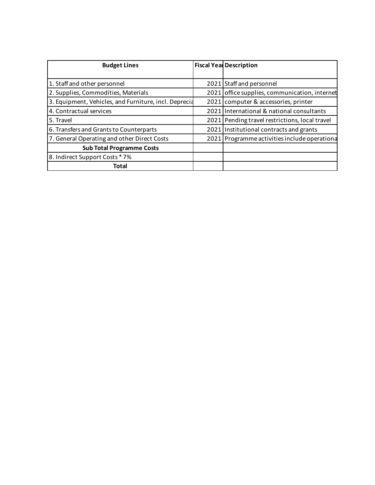| <b>Budget Lines</b>                                   | <b>Fiscal Year Description</b>                 |  |
|-------------------------------------------------------|------------------------------------------------|--|
|                                                       |                                                |  |
| 1. Staff and other personnel                          | 2021 Staff and personnel                       |  |
| 2. Supplies, Commodities, Materials                   | 2021 office supplies, communication, internet  |  |
| 3. Equipment, Vehicles, and Furniture, incl. Deprecia | 2021 computer & accessories, printer           |  |
| 4. Contractual services                               | 2021 International & national consultants      |  |
| 5. Travel                                             | 2021 Pending travel restrictions, local travel |  |
| 6. Transfers and Grants to Counterparts               | 2021 Institutional contracts and grants        |  |
| 7. General Operating and other Direct Costs           | 2021 Programme activities include operationa   |  |
| <b>Sub Total Programme Costs</b>                      |                                                |  |
| 8. Indirect Support Costs * 7%                        |                                                |  |
| Total                                                 |                                                |  |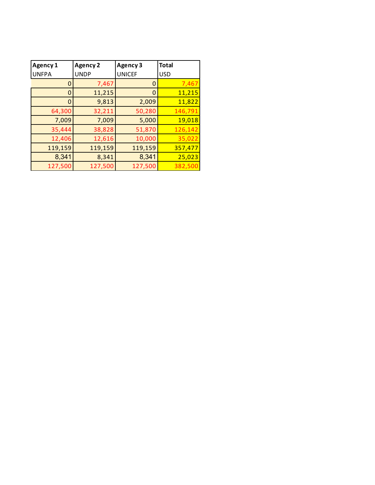| Agency 1     | <b>Agency 2</b> | <b>Agency 3</b> | <b>Total</b> |
|--------------|-----------------|-----------------|--------------|
| <b>UNFPA</b> | <b>UNDP</b>     | <b>UNICEF</b>   | <b>USD</b>   |
| 0            | 7,467           | 0               | 7,467        |
| 0            | 11,215          | 0               | 11,215       |
| 0            | 9,813           | 2,009           | 11,822       |
| 64,300       | 32,211          | 50,280          | 146,791      |
| 7,009        | 7,009           | 5,000           | 19,018       |
| 35,444       | 38,828          | 51,870          | 126,142      |
| 12,406       | 12,616          | 10,000          | 35,022       |
| 119,159      | 119,159         | 119,159         | 357,477      |
| 8,341        | 8,341           | 8,341           | 25,023       |
| 127,500      | 127,500         | 127,500         | 382,500      |